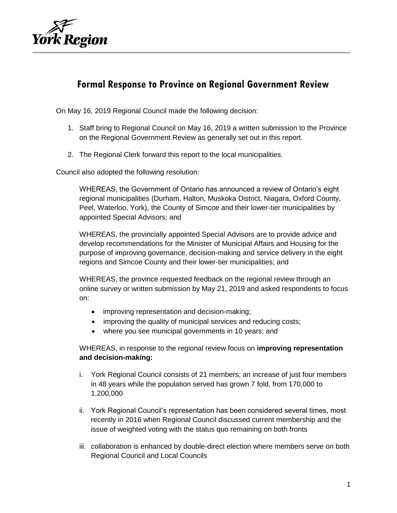

## **Formal Response to Province on Regional Government Review**

On May 16, 2019 Regional Council made the following decision:

- 1. Staff bring to Regional Council on May 16, 2019 a written submission to the Province on the Regional Government Review as generally set out in this report.
- 2. The Regional Clerk forward this report to the local municipalities.

Council also adopted the following resolution:

WHEREAS, the Government of Ontario has announced a review of Ontario's eight regional municipalities (Durham, Halton, Muskoka District, Niagara, Oxford County, Peel, Waterloo, York), the County of Simcoe and their lower-tier municipalities by appointed Special Advisors; and

WHEREAS, the provincially appointed Special Advisors are to provide advice and develop recommendations for the Minister of Municipal Affairs and Housing for the purpose of improving governance, decision-making and service delivery in the eight regions and Simcoe County and their lower-tier municipalities; and

WHEREAS, the province requested feedback on the regional review through an online survey or written submission by May 21, 2019 and asked respondents to focus on:

- improving representation and decision-making;
- improving the quality of municipal services and reducing costs;
- where you see municipal governments in 10 years; and

WHEREAS, in response to the regional review focus on **improving representation and decision-making:**

- i. York Regional Council consists of 21 members; an increase of just four members in 48 years while the population served has grown 7 fold, from 170,000 to 1,200,000
- ii. York Regional Council's representation has been considered several times, most recently in 2016 when Regional Council discussed current membership and the issue of weighted voting with the status quo remaining on both fronts
- iii. collaboration is enhanced by double-direct election where members serve on both Regional Council and Local Councils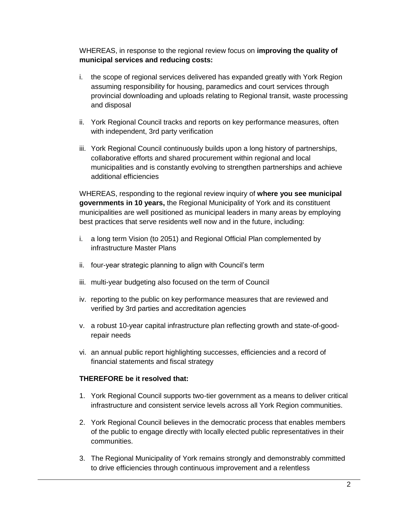WHEREAS, in response to the regional review focus on **improving the quality of municipal services and reducing costs:**

- i. the scope of regional services delivered has expanded greatly with York Region assuming responsibility for housing, paramedics and court services through provincial downloading and uploads relating to Regional transit, waste processing and disposal
- ii. York Regional Council tracks and reports on key performance measures, often with independent, 3rd party verification
- iii. York Regional Council continuously builds upon a long history of partnerships, collaborative efforts and shared procurement within regional and local municipalities and is constantly evolving to strengthen partnerships and achieve additional efficiencies

WHEREAS, responding to the regional review inquiry of **where you see municipal governments in 10 years,** the Regional Municipality of York and its constituent municipalities are well positioned as municipal leaders in many areas by employing best practices that serve residents well now and in the future, including:

- i. a long term Vision (to 2051) and Regional Official Plan complemented by infrastructure Master Plans
- ii. four-year strategic planning to align with Council's term
- iii. multi-year budgeting also focused on the term of Council
- iv. reporting to the public on key performance measures that are reviewed and verified by 3rd parties and accreditation agencies
- v. a robust 10-year capital infrastructure plan reflecting growth and state-of-goodrepair needs
- vi. an annual public report highlighting successes, efficiencies and a record of financial statements and fiscal strategy

## **THEREFORE be it resolved that:**

- 1. York Regional Council supports two-tier government as a means to deliver critical infrastructure and consistent service levels across all York Region communities.
- 2. York Regional Council believes in the democratic process that enables members of the public to engage directly with locally elected public representatives in their communities.
- 3. The Regional Municipality of York remains strongly and demonstrably committed to drive efficiencies through continuous improvement and a relentless